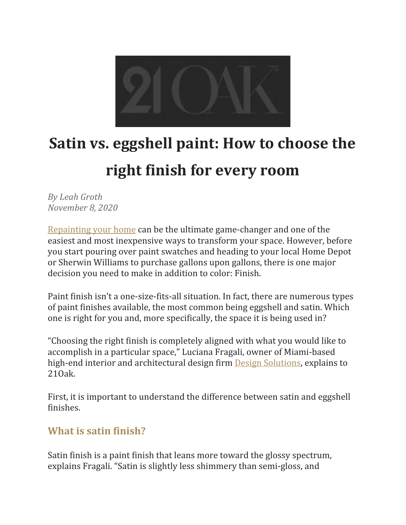

# **Satin vs. eggshell paint: How to choose the right finish for every room**

*By Leah Groth November 8, 2020*

[Repainting](https://www.21oak.com/inspiration/house-paint-primer/) your home can be the ultimate game-changer and one of the easiest and most inexpensive ways to transform your space. However, before you start pouring over paint swatches and heading to your local Home Depot or Sherwin Williams to purchase gallons upon gallons, there is one major decision you need to make in addition to color: Finish.

Paint finish isn't a one-size-fits-all situation. In fact, there are numerous types of paint finishes available, the most common being eggshell and satin. Which one is right for you and, more specifically, the space it is being used in?

"Choosing the right finish is completely aligned with what you would like to accomplish in a particular space," Luciana Fragali, owner of Miami-based high-end interior and architectural design firm Design [Solutions,](https://ds-miami.com/) explains to 21Oak.

First, it is important to understand the difference between satin and eggshell finishes.

## **What is satin finish?**

Satin finish is a paint finish that leans more toward the glossy spectrum, explains Fragali. "Satin is slightly less shimmery than semi-gloss, and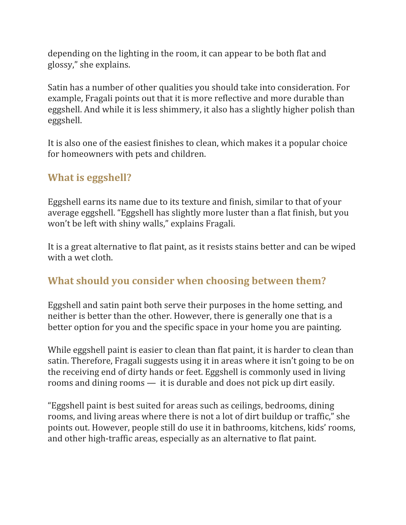depending on the lighting in the room, it can appear to be both flat and glossy," she explains.

Satin has a number of other qualities you should take into consideration. For example, Fragali points out that it is more reflective and more durable than eggshell. And while it is less shimmery, it also has a slightly higher polish than eggshell.

It is also one of the easiest finishes to clean, which makes it a popular choice for homeowners with pets and children.

#### **What is eggshell?**

Eggshell earns its name due to its texture and finish, similar to that of your average eggshell. "Eggshell has slightly more luster than a flat finish, but you won't be left with shiny walls," explains Fragali.

It is a great alternative to flat paint, as it resists stains better and can be wiped with a wet cloth.

## **What should you consider when choosing between them?**

Eggshell and satin paint both serve their purposes in the home setting, and neither is better than the other. However, there is generally one that is a better option for you and the specific space in your home you are painting.

While eggshell paint is easier to clean than flat paint, it is harder to clean than satin. Therefore, Fragali suggests using it in areas where it isn't going to be on the receiving end of dirty hands or feet. Eggshell is commonly used in living rooms and dining rooms — it is durable and does not pick up dirt easily.

"Eggshell paint is best suited for areas such as ceilings, bedrooms, dining rooms, and living areas where there is not a lot of dirt buildup or traffic," she points out. However, people still do use it in bathrooms, kitchens, kids' rooms, and other high-traffic areas, especially as an alternative to flat paint.